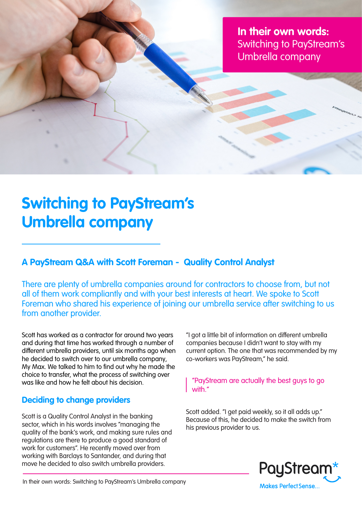**In their own words:** Switching to PayStream's Umbrella company

# **Switching to PayStream's Umbrella company**

## **A PayStream Q&A with Scott Foreman - Quality Control Analyst**

There are plenty of umbrella companies around for contractors to choose from, but not all of them work compliantly and with your best interests at heart. We spoke to Scott Foreman who shared his experience of joining our umbrella service after switching to us from another provider.

Scott has worked as a contractor for around two years and during that time has worked through a number of different umbrella providers, until six months ago when he decided to switch over to our umbrella company, My Max. We talked to him to find out why he made the choice to transfer, what the process of switching over was like and how he felt about his decision.

### **Deciding to change providers**

Scott is a Quality Control Analyst in the banking sector, which in his words involves "managing the quality of the bank's work, and making sure rules and regulations are there to produce a good standard of work for customers". He recently moved over from working with Barclays to Santander, and during that move he decided to also switch umbrella providers.

"I got a little bit of information on different umbrella companies because I didn't want to stay with my current option. The one that was recommended by my co-workers was PayStream," he said.

#### "PayStream are actually the best guys to go with."

Scott added. "I get paid weekly, so it all adds up." Because of this, he decided to make the switch from his previous provider to us.



In their own words: Switching to PayStream's Umbrella company